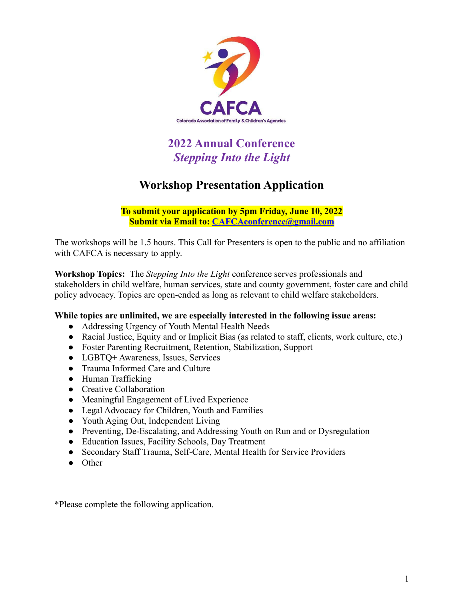

# **2022 Annual Conference** *Stepping Into the Light*

### **Workshop Presentation Application**

**To submit your application by 5pm Friday, June 10, 2022 Submit via Email to: [CAFCAconference@gmail.com](mailto:CAFCAconference@gmail.com)**

The workshops will be 1.5 hours. This Call for Presenters is open to the public and no affiliation with CAFCA is necessary to apply.

**Workshop Topics:** The *Stepping Into the Light* conference serves professionals and stakeholders in child welfare, human services, state and county government, foster care and child policy advocacy. Topics are open-ended as long as relevant to child welfare stakeholders.

### **While topics are unlimited, we are especially interested in the following issue areas:**

- Addressing Urgency of Youth Mental Health Needs
- Racial Justice, Equity and or Implicit Bias (as related to staff, clients, work culture, etc.)
- Foster Parenting Recruitment, Retention, Stabilization, Support
- LGBTQ+ Awareness, Issues, Services
- Trauma Informed Care and Culture
- Human Trafficking
- Creative Collaboration
- Meaningful Engagement of Lived Experience
- Legal Advocacy for Children, Youth and Families
- Youth Aging Out, Independent Living
- Preventing, De-Escalating, and Addressing Youth on Run and or Dysregulation
- Education Issues, Facility Schools, Day Treatment
- Secondary Staff Trauma, Self-Care, Mental Health for Service Providers
- Other

\*Please complete the following application.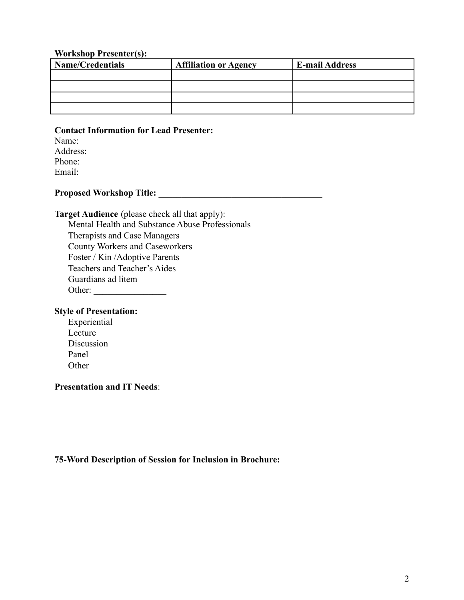#### **Workshop Presenter(s):**

| <b>Name/Credentials</b> | <b>Affiliation or Agency</b> | <b>E-mail Address</b> |
|-------------------------|------------------------------|-----------------------|
|                         |                              |                       |
|                         |                              |                       |
|                         |                              |                       |
|                         |                              |                       |

#### **Contact Information for Lead Presenter:**

Name: Address: Phone: Email:

## **Proposed Workshop Title: \_\_\_\_\_\_\_\_\_\_\_\_\_\_\_\_\_\_\_\_\_\_\_\_\_\_\_\_\_\_\_\_\_\_\_\_**

#### **Target Audience** (please check all that apply):

Mental Health and Substance Abuse Professionals Therapists and Case Managers County Workers and Caseworkers Foster / Kin /Adoptive Parents Teachers and Teacher's Aides Guardians ad litem Other: \_\_\_\_\_\_\_\_\_\_\_\_\_\_\_\_

#### **Style of Presentation:**

Experiential Lecture Discussion Panel **Other** 

### **Presentation and IT Needs**:

#### **75-Word Description of Session for Inclusion in Brochure:**